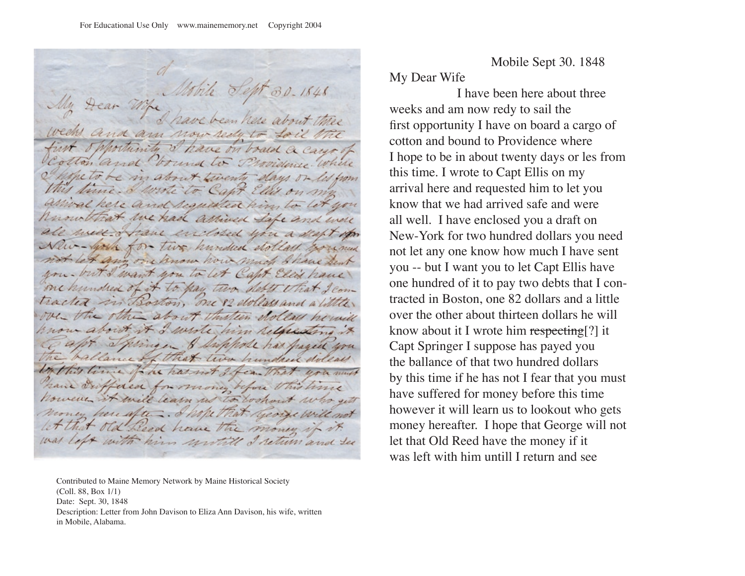re matr siventy e lo Cant arrival kere and requisited him Know that we had arrived Safe and were all well . Name enclosed you a disht of aw- your for two hundred dollars bound Let any one know how much shave but you but I want you to let Capt Elect have one hundred of it to pay two debts that I comtracted in Boston. one 82 dollars and a little, over the other about thisteen dollars howill now about it I wrote him relacesting it Springen & Swippole has haved won ance of that two hundred dolear the this time to he has not I ben that won must have differed for money before this time however it will learn no to bookout who sett money here after. I hope old Reed have the money if it. was left with him writed I return and see

Contributed to Maine Memory Network by Maine Historical Society (Coll. 88, Box 1/1) Date: Sept. 30, 1848 Description: Letter from John Davison to Eliza Ann Davison, his wife, written in Mobile, Alabama.

Mobile Sept 30. 1848

My Dear Wife

 I have been here about three weeks and am now redy to sail the first opportunity I have on board a cargo of cotton and bound to Providence where I hope to be in about twenty days or les from this time. I wrote to Capt Ellis on my arrival here and requested him to let you know that we had arrived safe and were all well. I have enclosed you a draft on New-York for two hundred dollars you need not let any one know how much I have sent you -- but I want you to let Capt Ellis have one hundred of it to pay two debts that I contracted in Boston, one 82 dollars and a little over the other about thirteen dollars he will know about it I wrote him respecting<sup>[?]</sup> it Capt Springer I suppose has payed you the ballance of that two hundred dollars by this time if he has not I fear that you must have suffered for money before this time however it will learn us to lookout who gets money hereafter. I hope that George will not let that Old Reed have the money if it was left with him untill I return and see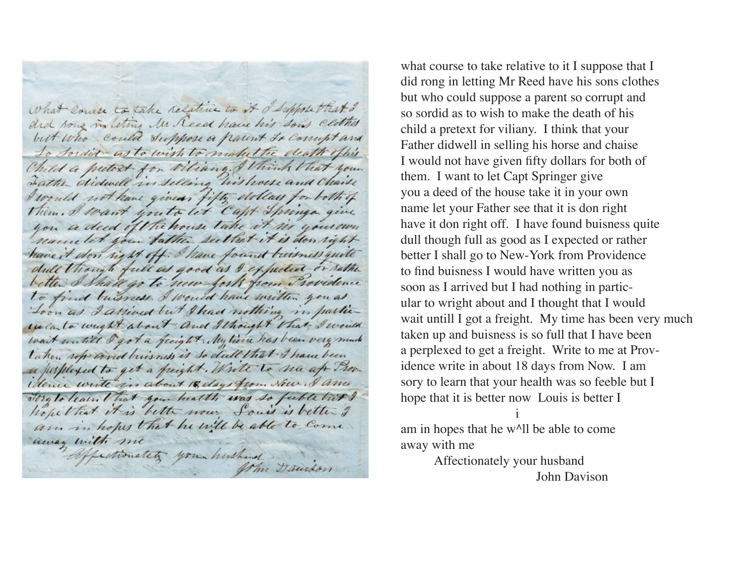what course to take relative to it o'suppose that I did song in leting Mr Reed have his sons clothes but who could Suppose a parent to comptand To Sordier as to wish to make the death office Child a putext for viliang. I think that your I would not have given fifty dollars for both of Them. I want youto let Capt Springe give you a deed of the house take it in your own namelet your father seethet it is don right have it don sight off. I have found buisness quite dull though full as good as I expedice or rather better I Shall go to new forth from Providence to find buisness. I would have written you as Loon as I arrived but I had nothing in partieexcluto weight about and I thought that I would wait writed I got a freight. My time has been very much taken up and buisness is so dull that I have been a perplexed to get a freight. Write to na af Providence write in about 18 days from Now. I am Tory to learn that your health was so fuble but ? hopethat it is bette now Souis is better I am in hopes that he will be able to Come away with me affectionately your hushand Mm Dandon

what course to take relative to it I suppose that I did rong in letting Mr Reed have his sons clothes but who could suppose a parent so corrupt and so sordid as to wish to make the death of his child a pretext for viliany. I think that your Father didwell in selling his horse and chaise I would not have given fifty dollars for both of them. I want to let Capt Springer give you a deed of the house take it in your own name let your Father see that it is don right have it don right off. I have found buisness quite dull though full as good as I expected or rather better I shall go to New-York from Providence to find buisness I would have written you as soon as I arrived but I had nothing in particular to wright about and I thought that I would wait untill I got a freight. My time has been very much taken up and buisness is so full that I have been a perplexed to get a freight. Write to me at Providence write in about 18 days from Now. I am sory to learn that your health was so feeble but I hope that it is better now Louis is better I i

am in hopes that he w^ll be able to come away with me

> Affectionately your husband John Davison